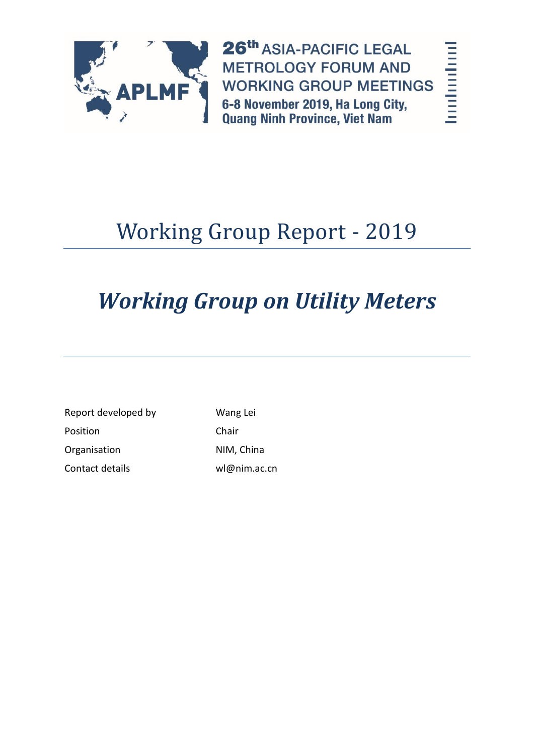

26th ASIA-PACIFIC LEGAL **METROLOGY FORUM AND WORKING GROUP MEETINGS** 6-8 November 2019, Ha Long City, **Quang Ninh Province, Viet Nam** 

# Working Group Report - 2019

# *Working Group on Utility Meters*

| Report developed by | Wang Lei     |  |
|---------------------|--------------|--|
| Position            | Chair        |  |
| Organisation        | NIM, China   |  |
| Contact details     | wl@nim.ac.cn |  |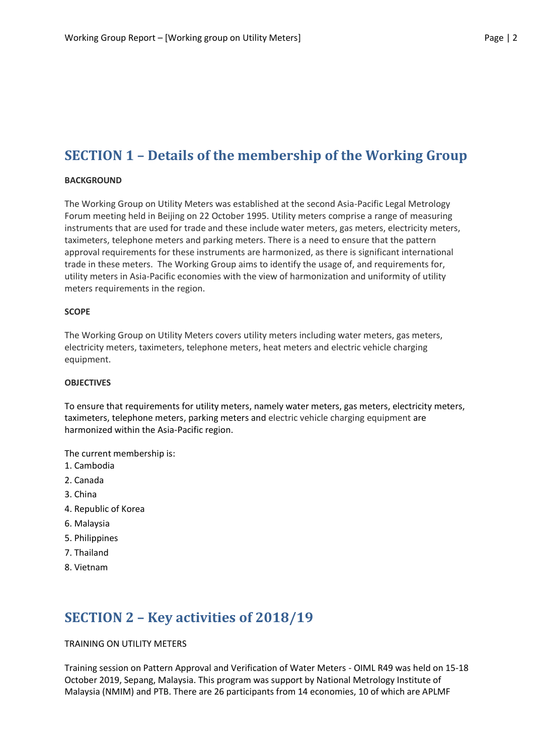## **SECTION 1 – Details of the membership of the Working Group**

#### **BACKGROUND**

The Working Group on Utility Meters was established at the second Asia-Pacific Legal Metrology Forum meeting held in Beijing on 22 October 1995. Utility meters comprise a range of measuring instruments that are used for trade and these include water meters, gas meters, electricity meters, taximeters, telephone meters and parking meters. There is a need to ensure that the pattern approval requirements for these instruments are harmonized, as there is significant international trade in these meters. The Working Group aims to identify the usage of, and requirements for, utility meters in Asia-Pacific economies with the view of harmonization and uniformity of utility meters requirements in the region.

#### **SCOPE**

The Working Group on Utility Meters covers utility meters including water meters, gas meters, electricity meters, taximeters, telephone meters, heat meters and electric vehicle charging equipment.

#### **OBJECTIVES**

To ensure that requirements for utility meters, namely water meters, gas meters, electricity meters, taximeters, telephone meters, parking meters and electric vehicle charging equipment are harmonized within the Asia-Pacific region.

The current membership is:

- 1. Cambodia
- 2. Canada
- 3. China
- 4. Republic of Korea
- 6. Malaysia
- 5. Philippines
- 7. Thailand
- 8. Vietnam

### **SECTION 2 – Key activities of 2018/19**

#### TRAINING ON UTILITY METERS

Training session on Pattern Approval and Verification of Water Meters - OIML R49 was held on 15-18 October 2019, Sepang, Malaysia. This program was support by National Metrology Institute of Malaysia (NMIM) and PTB. There are 26 participants from 14 economies, 10 of which are APLMF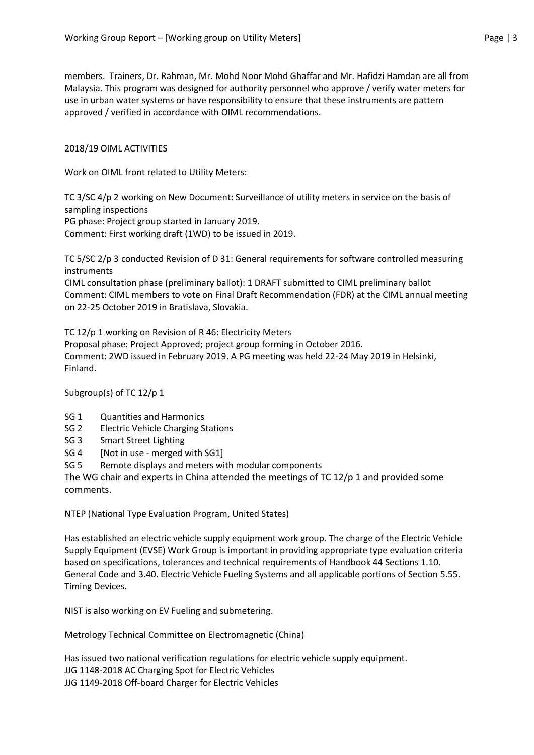members. Trainers, Dr. Rahman, Mr. Mohd Noor Mohd Ghaffar and Mr. Hafidzi Hamdan are all from Malaysia. This program was designed for authority personnel who approve / verify water meters for use in urban water systems or have responsibility to ensure that these instruments are pattern approved / verified in accordance with OIML recommendations.

#### 2018/19 OIML ACTIVITIES

Work on OIML front related to Utility Meters:

TC 3/SC 4/p 2 working on New Document: Surveillance of utility meters in service on the basis of sampling inspections

PG phase: Project group started in January 2019.

Comment: First working draft (1WD) to be issued in 2019.

TC 5/SC 2/p 3 conducted Revision of D 31: General requirements for software controlled measuring instruments

CIML consultation phase (preliminary ballot): 1 DRAFT submitted to CIML preliminary ballot Comment: CIML members to vote on Final Draft Recommendation (FDR) at the CIML annual meeting on 22-25 October 2019 in Bratislava, Slovakia.

TC 12/p 1 working on Revision of R 46: Electricity Meters

Proposal phase: Project Approved; project group forming in October 2016. Comment: 2WD issued in February 2019. A PG meeting was held 22-24 May 2019 in Helsinki, Finland.

Subgroup(s) of TC 12/p 1

- SG 1 Quantities and Harmonics
- SG 2 Electric Vehicle Charging Stations
- SG 3 Smart Street Lighting
- SG 4 [Not in use merged with SG1]
- SG 5 Remote displays and meters with modular components

The WG chair and experts in China attended the meetings of TC 12/p 1 and provided some comments.

NTEP (National Type Evaluation Program, United States)

Has established an [electric vehicle supply equipment work group.](https://www.ncwm.com/ntep-evse-workgroup) The charge of the Electric Vehicle Supply Equipment (EVSE) Work Group is important in providing appropriate type evaluation criteria based on specifications, tolerances and technical requirements of Handbook 44 Sections 1.10. General Code and 3.40. Electric Vehicle Fueling Systems and all applicable portions of Section 5.55. Timing Devices.

NIST is also working on [EV Fueling and submetering.](https://www.nist.gov/pml/weights-and-measures/legal-metrology-devices/electric-vehicle-fueling-and-submetering)

Metrology Technical Committee on Electromagnetic (China)

Has issued two national verification regulations for electric vehicle supply equipment. JJG 1148-2018 AC Charging Spot for Electric Vehicles JJG 1149-2018 Off-board Charger for Electric Vehicles